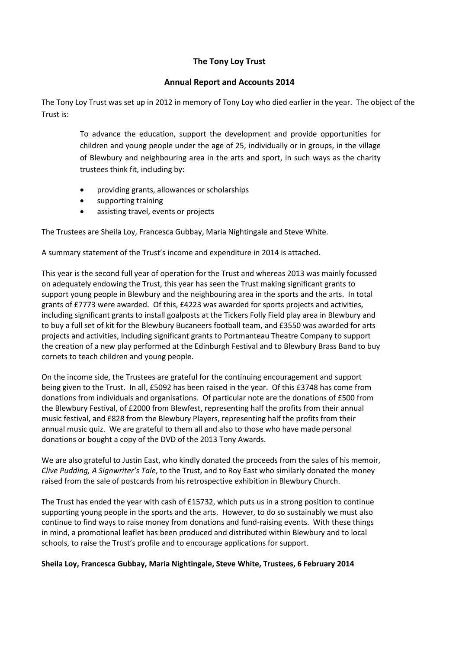## **The Tony Loy Trust**

## **Annual Report and Accounts 2014**

The Tony Loy Trust was set up in 2012 in memory of Tony Loy who died earlier in the year. The object of the Trust is:

> To advance the education, support the development and provide opportunities for children and young people under the age of 25, individually or in groups, in the village of Blewbury and neighbouring area in the arts and sport, in such ways as the charity trustees think fit, including by:

- providing grants, allowances or scholarships
- supporting training
- assisting travel, events or projects

The Trustees are Sheila Loy, Francesca Gubbay, Maria Nightingale and Steve White.

A summary statement of the Trust's income and expenditure in 2014 is attached.

This year is the second full year of operation for the Trust and whereas 2013 was mainly focussed on adequately endowing the Trust, this year has seen the Trust making significant grants to support young people in Blewbury and the neighbouring area in the sports and the arts. In total grants of £7773 were awarded. Of this, £4223 was awarded for sports projects and activities, including significant grants to install goalposts at the Tickers Folly Field play area in Blewbury and to buy a full set of kit for the Blewbury Bucaneers football team, and £3550 was awarded for arts projects and activities, including significant grants to Portmanteau Theatre Company to support the creation of a new play performed at the Edinburgh Festival and to Blewbury Brass Band to buy cornets to teach children and young people.

On the income side, the Trustees are grateful for the continuing encouragement and support being given to the Trust. In all, £5092 has been raised in the year. Of this £3748 has come from donations from individuals and organisations. Of particular note are the donations of £500 from the Blewbury Festival, of £2000 from Blewfest, representing half the profits from their annual music festival, and £828 from the Blewbury Players, representing half the profits from their annual music quiz. We are grateful to them all and also to those who have made personal donations or bought a copy of the DVD of the 2013 Tony Awards.

We are also grateful to Justin East, who kindly donated the proceeds from the sales of his memoir, *Clive Pudding, A Signwriter's Tale*, to the Trust, and to Roy East who similarly donated the money raised from the sale of postcards from his retrospective exhibition in Blewbury Church.

The Trust has ended the year with cash of £15732, which puts us in a strong position to continue supporting young people in the sports and the arts. However, to do so sustainably we must also continue to find ways to raise money from donations and fund-raising events. With these things in mind, a promotional leaflet has been produced and distributed within Blewbury and to local schools, to raise the Trust's profile and to encourage applications for support.

## **Sheila Loy, Francesca Gubbay, Maria Nightingale, Steve White, Trustees, 6 February 2014**